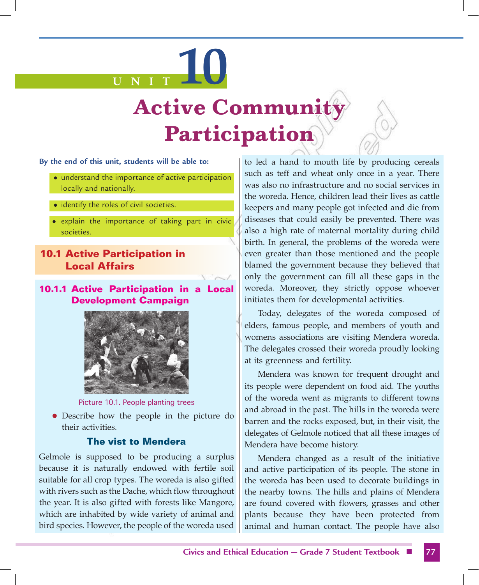# **U N I T 10**

# **Active Communit Participation**

#### **By the end of this unit, students will be able to:**

- understand the importance of active participation locally and nationally.
- identify the roles of civil societies.
- explain the importance of taking part in civic societies.

### **10.1 Active Participation in Local Affairs**

#### **10.1.1 Active Participation in a Local Development Campaign**



Picture 10.1. People planting trees

• Describe how the people in the picture do their activities.

#### **The vist to Mendera**

Gelmole is supposed to be producing a surplus because it is naturally endowed with fertile soil suitable for all crop types. The woreda is also gifted with rivers such as the Dache, which flow throughout the year. It is also gifted with forests like Mangore, which are inhabited by wide variety of animal and bird species. However, the people of the woreda used

to led a hand to mouth life by producing cereals such as teff and wheat only once in a year. There was also no infrastructure and no social services in the woreda. Hence, children lead their lives as cattle keepers and many people got infected and die from diseases that could easily be prevented. There was also a high rate of maternal mortality during child birth. In general, the problems of the woreda were even greater than those mentioned and the people blamed the government because they believed that only the government can fill all these gaps in the woreda. Moreover, they strictly oppose whoever initiates them for developmental activities.

Today, delegates of the woreda composed of elders, famous people, and members of youth and womens associations are visiting Mendera woreda. The delegates crossed their woreda proudly looking at its greenness and fertility.

Mendera was known for frequent drought and its people were dependent on food aid. The youths of the woreda went as migrants to different towns and abroad in the past. The hills in the woreda were barren and the rocks exposed, but, in their visit, the delegates of Gelmole noticed that all these images of Mendera have become history.

Mendera changed as a result of the initiative and active participation of its people. The stone in the woreda has been used to decorate buildings in the nearby towns. The hills and plains of Mendera are found covered with flowers, grasses and other plants because they have been protected from animal and human contact. The people have also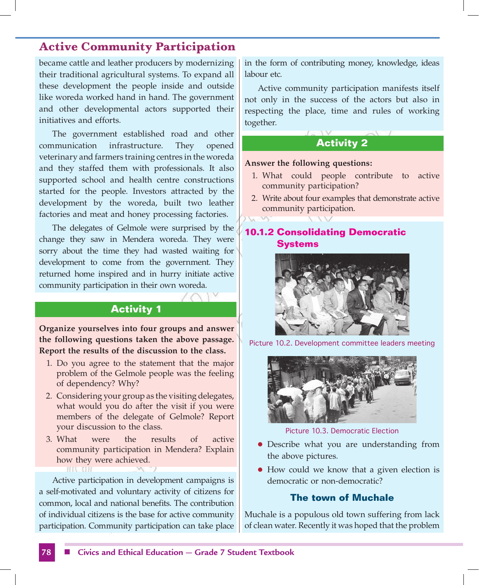became cattle and leather producers by modernizing their traditional agricultural systems. To expand all these development the people inside and outside like woreda worked hand in hand. The government and other developmental actors supported their initiatives and efforts.

The government established road and other communication infrastructure. They opened veterinary and farmers training centres in the woreda and they staffed them with professionals. It also supported school and health centre constructions started for the people. Investors attracted by the development by the woreda, built two leather factories and meat and honey processing factories.

The delegates of Gelmole were surprised by the change they saw in Mendera woreda. They were sorry about the time they had wasted waiting for development to come from the government. They returned home inspired and in hurry initiate active community participation in their own woreda.

#### **Activity 1**

**Organize yourselves into four groups and answer the following questions taken the above passage. Report the results of the discussion to the class.**

- 1. Do you agree to the statement that the major problem of the Gelmole people was the feeling of dependency? Why?
- 2. Considering your group as the visiting delegates, what would you do after the visit if you were members of the delegate of Gelmole? Report your discussion to the class.
- 3. What were the results of active community participation in Mendera? Explain how they were achieved. **HILLIGHT**

Active participation in development campaigns is a self-motivated and voluntary activity of citizens for common, local and national benefits. The contribution of individual citizens is the base for active community participation. Community participation can take place in the form of contributing money, knowledge, ideas labour etc.

Active community participation manifests itself not only in the success of the actors but also in respecting the place, time and rules of working together.

#### **Activity 2**

#### **Answer the following questions:**

- 1. What could people contribute to active community participation?
- 2. Write about four examples that demonstrate active community participation.

#### **10.1.2 Consolidating Democratic Systems**



Picture 10.2. Development committee leaders meeting



Picture 10.3. Democratic Election

- Describe what you are understanding from the above pictures.
- How could we know that a given election is democratic or non-democratic?

#### **The town of Muchale**

Muchale is a populous old town suffering from lack of clean water. Recently it was hoped that the problem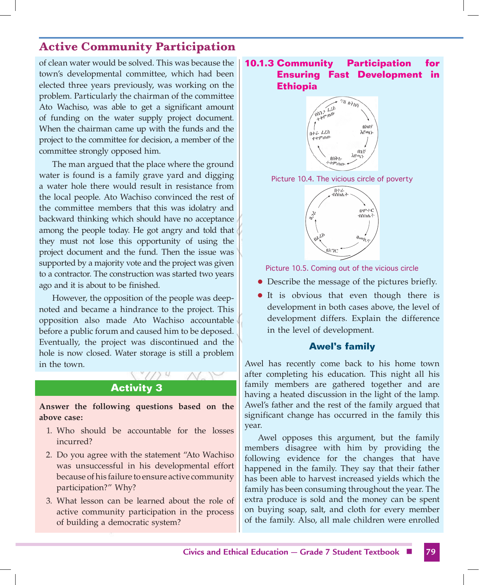of clean water would be solved. This was because the town's developmental committee, which had been elected three years previously, was working on the problem. Particularly the chairman of the committee Ato Wachiso, was able to get a significant amount of funding on the water supply project document. When the chairman came up with the funds and the project to the committee for decision, a member of the committee strongly opposed him.

The man argued that the place where the ground water is found is a family grave yard and digging a water hole there would result in resistance from the local people. Ato Wachiso convinced the rest of the committee members that this was idolatry and backward thinking which should have no acceptance among the people today. He got angry and told that they must not lose this opportunity of using the project document and the fund. Then the issue was supported by a majority vote and the project was given to a contractor. The construction was started two years ago and it is about to be finished.

However, the opposition of the people was deepnoted and became a hindrance to the project. This opposition also made Ato Wachiso accountable before a public forum and caused him to be deposed. Eventually, the project was discontinued and the hole is now closed. Water storage is still a problem in the town.

#### **Activity 3**

ZY M

**Answer the following questions based on the above case:**

- 1. Who should be accountable for the losses incurred?
- 2. Do you agree with the statement "Ato Wachiso was unsuccessful in his developmental effort because of his failure to ensure active community participation?" Why?
- 3. What lesson can be learned about the role of active community participation in the process of building a democratic system?

#### **10.1.3 Community Participation for Ensuring Fast Development in Ethiopia**







Picture 10.5. Coming out of the vicious circle

- Describe the message of the pictures briefly.
- It is obvious that even though there is development in both cases above, the level of development differs. Explain the difference in the level of development.

#### **Awel's family**

Awel has recently come back to his home town after completing his education. This night all his family members are gathered together and are having a heated discussion in the light of the lamp. Awel's father and the rest of the family argued that significant change has occurred in the family this year.

Awel opposes this argument, but the family members disagree with him by providing the following evidence for the changes that have happened in the family. They say that their father has been able to harvest increased yields which the family has been consuming throughout the year. The extra produce is sold and the money can be spent on buying soap, salt, and cloth for every member of the family. Also, all male children were enrolled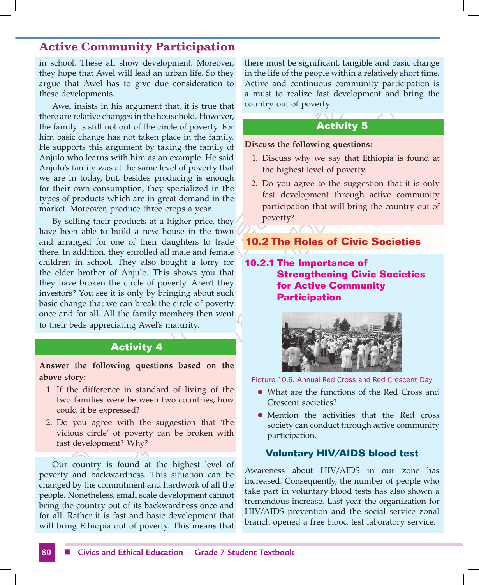in school. These all show development. Moreover, they hope that Awel will lead an urban life. So they argue that Awel has to give due consideration to these developments.

Awel insists in his argument that, it is true that there are relative changes in the household. However, the family is still not out of the circle of poverty. For him basic change has not taken place in the family. He supports this argument by taking the family of Anjulo who learns with him as an example. He said Anjulo's family was at the same level of poverty that we are in today, but, besides producing is enough for their own consumption, they specialized in the types of products which are in great demand in the market. Moreover, produce three crops a year.

By selling their products at a higher price, they have been able to build a new house in the town and arranged for one of their daughters to trade there. In addition, they enrolled all male and female children in school. They also bought a lorry for the elder brother of Anjulo. This shows you that they have broken the circle of poverty. Aren't they investors? You see it is only by bringing about such basic change that we can break the circle of poverty once and for all. All the family members then went to their beds appreciating Awel's maturity.

#### **Activity 4**

**Answer the following questions based on the above story:**

- 1. If the difference in standard of living of the two families were between two countries, how could it be expressed?
- 2. Do you agree with the suggestion that 'the vicious circle' of poverty can be broken with fast development? Why?

Our country is found at the highest level of poverty and backwardness. This situation can be changed by the commitment and hardwork of all the people. Nonetheless, small scale development cannot bring the country out of its backwardness once and for all. Rather it is fast and basic development that will bring Ethiopia out of poverty. This means that there must be significant, tangible and basic change in the life of the people within a relatively short time. Active and continuous community participation is a must to realize fast development and bring the country out of poverty.

# **Activity 5**

#### **Discuss the following questions:**

- 1. Discuss why we say that Ethiopia is found at the highest level of poverty.
- 2. Do you agree to the suggestion that it is only fast development through active community participation that will bring the country out of poverty?

#### **10.2 The Roles of Civic Societies**

**10.2.1 The Importance of Strengthening Civic Societies for Active Community Participation**



Picture 10.6. Annual Red Cross and Red Crescent Day

- What are the functions of the Red Cross and Crescent societies?
- Mention the activities that the Red cross society can conduct through active community participation.

#### **Voluntary HIV/AIDS blood test**

Awareness about HIV/AIDS in our zone has increased. Consequently, the number of people who take part in voluntary blood tests has also shown a tremendous increase. Last year the organization for HIV/AIDS prevention and the social service zonal branch opened a free blood test laboratory service.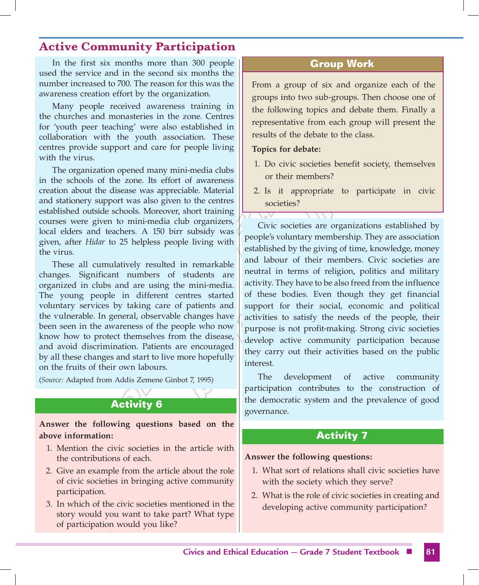In the first six months more than 300 people used the service and in the second six months the number increased to 700. The reason for this was the awareness creation effort by the organization.

Many people received awareness training in the churches and monasteries in the zone. Centres for 'youth peer teaching' were also established in collaboration with the youth association. These centres provide support and care for people living with the virus.

The organization opened many mini-media clubs in the schools of the zone. Its effort of awareness creation about the disease was appreciable. Material and stationery support was also given to the centres established outside schools. Moreover, short training courses were given to mini-media club organizers, local elders and teachers. A 150 birr subsidy was given, after *Hidar* to 25 helpless people living with the virus.

These all cumulatively resulted in remarkable changes. Significant numbers of students are organized in clubs and are using the mini-media. The young people in different centres started voluntary services by taking care of patients and the vulnerable. In general, observable changes have been seen in the awareness of the people who now know how to protect themselves from the disease, and avoid discrimination. Patients are encouraged by all these changes and start to live more hopefully on the fruits of their own labours.

(*Source:* Adapted from Addis Zemene Ginbot 7, 1995)

# **Activity 6**

**Answer the following questions based on the above information:**

- 1. Mention the civic societies in the article with the contributions of each.
- 2. Give an example from the article about the role of civic societies in bringing active community participation.
- 3. In which of the civic societies mentioned in the story would you want to take part? What type of participation would you like?

#### **Group Work**

From a group of six and organize each of the groups into two sub-groups. Then choose one of the following topics and debate them. Finally a representative from each group will present the results of the debate to the class.

#### **Topics for debate:**

- 1. Do civic societies benefit society, themselves or their members?
- 2. Is it appropriate to participate in civic societies?

Civic societies are organizations established by people's voluntary membership. They are association established by the giving of time, knowledge, money and labour of their members. Civic societies are neutral in terms of religion, politics and military activity. They have to be also freed from the influence of these bodies. Even though they get financial support for their social, economic and political activities to satisfy the needs of the people, their purpose is not profit-making. Strong civic societies develop active community participation because they carry out their activities based on the public interest.

The development of active community participation contributes to the construction of the democratic system and the prevalence of good governance.

#### **Activity 7**

#### **Answer the following questions:**

- 1. What sort of relations shall civic societies have with the society which they serve?
- 2. What is the role of civic societies in creating and developing active community participation?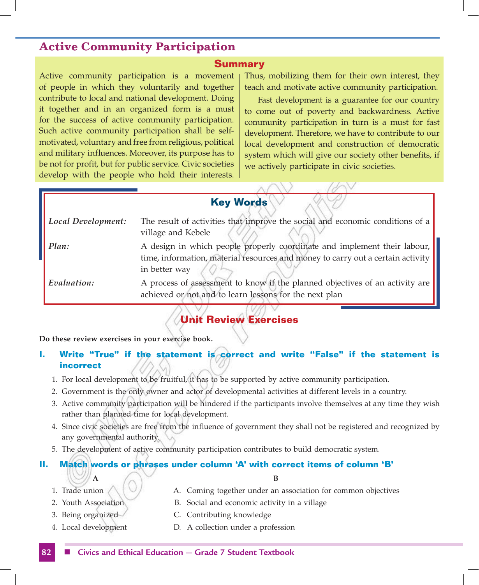#### **Summary**

Active community participation is a movement of people in which they voluntarily and together contribute to local and national development. Doing it together and in an organized form is a must for the success of active community participation. Such active community participation shall be selfmotivated, voluntary and free from religious, political and military influences. Moreover, its purpose has to be not for profit, but for public service. Civic societies develop with the people who hold their interests. Thus, mobilizing them for their own interest, they teach and motivate active community participation.

Fast development is a guarantee for our country to come out of poverty and backwardness. Active community participation in turn is a must for fast development. Therefore, we have to contribute to our local development and construction of democratic system which will give our society other benefits, if we actively participate in civic societies.

#### **Key Words**

| Local Development: | The result of activities that improve the social and economic conditions of a   |
|--------------------|---------------------------------------------------------------------------------|
|                    | village and Kebele                                                              |
| Plan:              | A design in which people properly coordinate and implement their labour,        |
|                    | time, information, material resources and money to carry out a certain activity |
|                    | in better way                                                                   |
| Evaluation:        | A process of assessment to know if the planned objectives of an activity are    |
|                    | achieved or not and to learn lessons for the next plan                          |

## **Unit Review Exercises**

**Do these review exercises in your exercise book.**

#### **I. Write "True" if the statement is correct and write "False" if the statement is incorrect**

- 1. For local development to be fruitful, it has to be supported by active community participation.
- 2. Government is the only owner and actor of developmental activities at different levels in a country.
- 3. Active community participation will be hindered if the participants involve themselves at any time they wish rather than planned time for local development.
- 4. Since civic societies are free from the influence of government they shall not be registered and recognized by any governmental authority.
- 5. The development of active community participation contributes to build democratic system.

#### **II. Match words or phrases under column 'A' with correct items of column 'B'**

**A B**

- 1. Trade union  $\bigwedge \big( \bigvee$  A. Coming together under an association for common objectives
- 
- 2. Youth Association B. Social and economic activity in a village
- 
- 
- 3. Being organized C. Contributing knowledge
- 4. Local development D. A collection under a profession